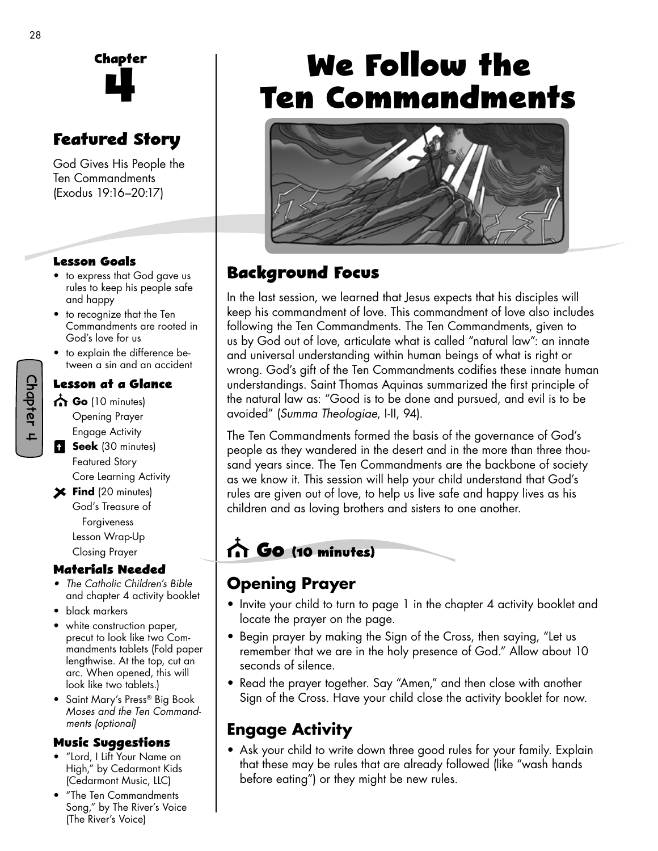

# **Featured Story**

God Gives His People the Ten Commandments (Exodus 19:16–20:17)

#### **Lesson Goals**

- to express that God gave us rules to keep his people safe and happy
- to recognize that the Ten Commandments are rooted in God's love for us
- to explain the difference between a sin and an accident

#### **Lesson at a Glance**

- **Go** (10 minutes) Opening Prayer Engage Activity
- **Seek** (30 minutes) Featured Story Core Learning Activity
- **Find** (20 minutes) God's Treasure of Forgiveness Lesson Wrap-Up Closing Prayer

#### **Materials Needed**

- *The Catholic Children's Bible* and chapter 4 activity booklet
- black markers
- white construction paper, precut to look like two Commandments tablets (Fold paper lengthwise. At the top, cut an arc. When opened, this will look like two tablets.)
- Saint Mary's Press® Big Book *Moses and the Ten Commandments (optional)*

#### **Music Su�gestions**

- "Lord, I Lift Your Name on High," by Cedarmont Kids (Cedarmont Music, LLC)
- "The Ten Commandments Song," by The River's Voice (The River's Voice)

# We Follow the **Ten Commandments**



# **Background Focus**

In the last session, we learned that Jesus expects that his disciples will keep his commandment of love. This commandment of love also includes following the Ten Commandments. The Ten Commandments, given to us by God out of love, articulate what is called "natural law": an innate and universal understanding within human beings of what is right or wrong. God's gift of the Ten Commandments codifies these innate human understandings. Saint Thomas Aquinas summarized the first principle of the natural law as: "Good is to be done and pursued, and evil is to be avoided" (*Summa Theologiae*, I-II, 94).

The Ten Commandments formed the basis of the governance of God's people as they wandered in the desert and in the more than three thousand years since. The Ten Commandments are the backbone of society as we know it. This session will help your child understand that God's rules are given out of love, to help us live safe and happy lives as his children and as loving brothers and sisters to one another.

# **Go (10 minutes)**

## **Opening Prayer**

- Invite your child to turn to page 1 in the chapter 4 activity booklet and locate the prayer on the page.
- Begin prayer by making the Sign of the Cross, then saying, "Let us remember that we are in the holy presence of God." Allow about 10 seconds of silence.
- Read the prayer together. Say "Amen," and then close with another Sign of the Cross. Have your child close the activity booklet for now.

## **Engage Activity**

• Ask your child to write down three good rules for your family. Explain that these may be rules that are already followed (like "wash hands before eating") or they might be new rules.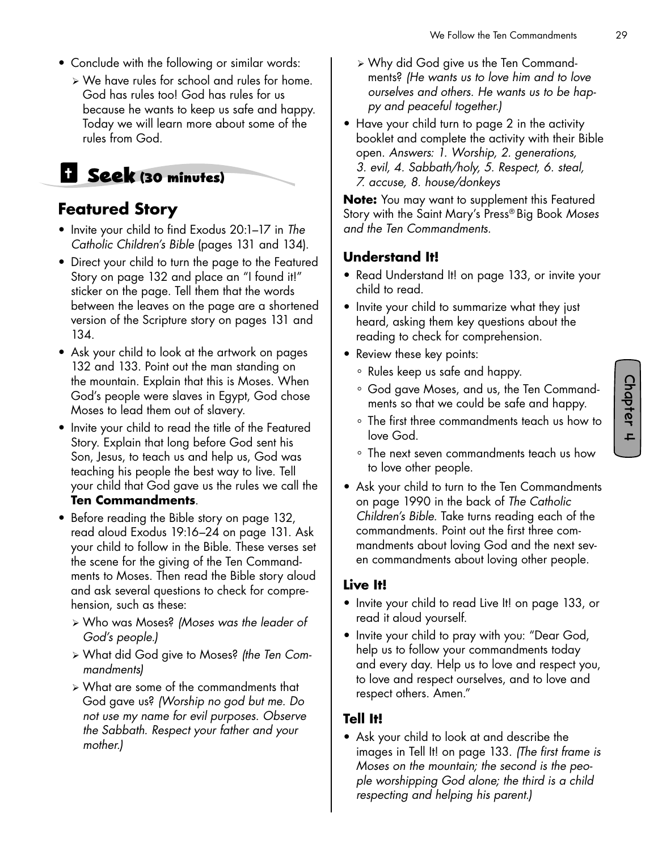- Conclude with the following or similar words:
	- ¾ We have rules for school and rules for home. God has rules too! God has rules for us because he wants to keep us safe and happy. Today we will learn more about some of the rules from God.

# **Seek (30 minutes)**

### **Featured Story**

- Invite your child to find Exodus 20:1–17 in *The Catholic Children's Bible* (pages 131 and 134).
- Direct your child to turn the page to the Featured Story on page 132 and place an "I found it!" sticker on the page. Tell them that the words between the leaves on the page are a shortened version of the Scripture story on pages 131 and 134.
- Ask your child to look at the artwork on pages 132 and 133. Point out the man standing on the mountain. Explain that this is Moses. When God's people were slaves in Egypt, God chose Moses to lead them out of slavery.
- Invite your child to read the title of the Featured Story. Explain that long before God sent his Son, Jesus, to teach us and help us, God was teaching his people the best way to live. Tell your child that God gave us the rules we call the **Ten Commandments**.
- Before reading the Bible story on page 132, read aloud Exodus 19:16–24 on page 131. Ask your child to follow in the Bible. These verses set the scene for the giving of the Ten Commandments to Moses. Then read the Bible story aloud and ask several questions to check for comprehension, such as these:
	- ¾ Who was Moses? *(Moses was the leader of God's people.)*
	- ¾ What did God give to Moses? *(the Ten Commandments)*
	- ¾ What are some of the commandments that God gave us? *(Worship no god but me. Do not use my name for evil purposes. Observe the Sabbath. Respect your father and your mother.)*
- ¾ Why did God give us the Ten Commandments? *(He wants us to love him and to love ourselves and others. He wants us to be happy and peaceful together.)*
- Have your child turn to page 2 in the activity booklet and complete the activity with their Bible open. *Answers: 1. Worship, 2. generations, 3. evil, 4. Sabbath/holy, 5. Respect, 6. steal, 7. accuse, 8. house/donkeys*

**Note:** You may want to supplement this Featured Story with the Saint Mary's Press® Big Book *Moses and the Ten Commandments.* 

#### **Understand It!**

- Read Understand It! on page 133, or invite your child to read.
- Invite your child to summarize what they just heard, asking them key questions about the reading to check for comprehension.
- Review these key points:
	- ° Rules keep us safe and happy.
	- ° God gave Moses, and us, the Ten Commandments so that we could be safe and happy.
	- ° The first three commandments teach us how to love God.
	- ° The next seven commandments teach us how to love other people.
- Ask your child to turn to the Ten Commandments on page 1990 in the back of *The Catholic Children's Bible.* Take turns reading each of the commandments. Point out the first three commandments about loving God and the next seven commandments about loving other people.

#### **Live It!**

- Invite your child to read Live It! on page 133, or read it aloud yourself.
- Invite your child to pray with you: "Dear God, help us to follow your commandments today and every day. Help us to love and respect you, to love and respect ourselves, and to love and respect others. Amen."

#### **Tell It!**

• Ask your child to look at and describe the images in Tell It! on page 133. *(The first frame is Moses on the mountain; the second is the people worshipping God alone; the third is a child respecting and helping his parent.)*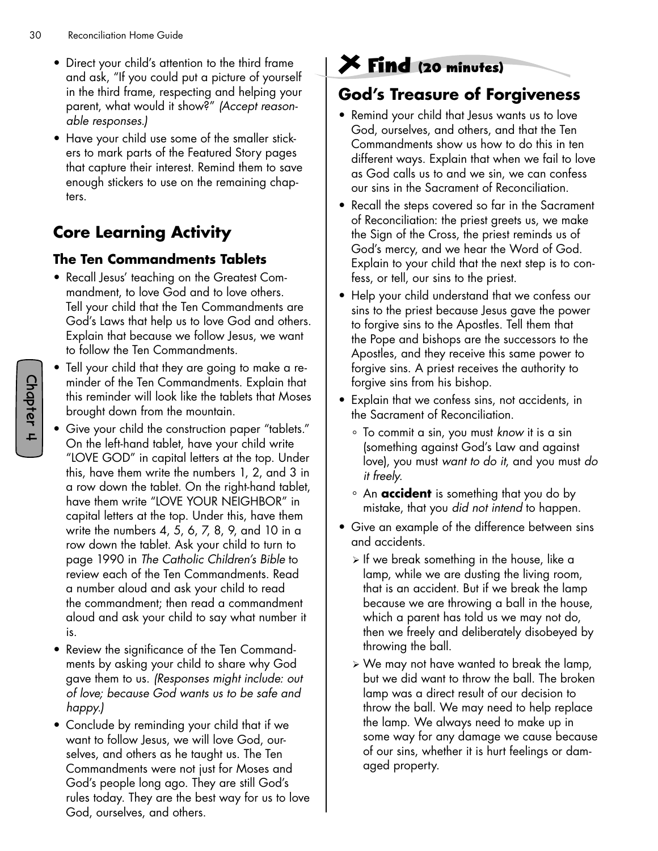- Direct your child's attention to the third frame and ask, "If you could put a picture of yourself in the third frame, respecting and helping your parent, what would it show?" *(Accept reasonable responses.)*
- Have your child use some of the smaller stickers to mark parts of the Featured Story pages that capture their interest. Remind them to save enough stickers to use on the remaining chapters.

# **Core Learning Activity**

#### **The Ten Commandments Tablets**

- Recall Jesus' teaching on the Greatest Commandment, to love God and to love others. Tell your child that the Ten Commandments are God's Laws that help us to love God and others. Explain that because we follow Jesus, we want to follow the Ten Commandments.
- Tell your child that they are going to make a reminder of the Ten Commandments. Explain that this reminder will look like the tablets that Moses brought down from the mountain.
- Give your child the construction paper "tablets." On the left-hand tablet, have your child write "LOVE GOD" in capital letters at the top. Under this, have them write the numbers 1, 2, and 3 in a row down the tablet. On the right-hand tablet, have them write "LOVE YOUR NEIGHBOR" in capital letters at the top. Under this, have them write the numbers 4, 5, 6, 7, 8, 9, and 10 in a row down the tablet. Ask your child to turn to page 1990 in *The Catholic Children's Bible* to review each of the Ten Commandments. Read a number aloud and ask your child to read the commandment; then read a commandment aloud and ask your child to say what number it is.
- Review the significance of the Ten Commandments by asking your child to share why God gave them to us. *(Responses might include: out of love; because God wants us to be safe and happy.)*
- Conclude by reminding your child that if we want to follow Jesus, we will love God, ourselves, and others as he taught us. The Ten Commandments were not just for Moses and God's people long ago. They are still God's rules today. They are the best way for us to love God, ourselves, and others.

# **Find (20 minutes)**

### **God's Treasure of Forgiveness**

- Remind your child that Jesus wants us to love God, ourselves, and others, and that the Ten Commandments show us how to do this in ten different ways. Explain that when we fail to love as God calls us to and we sin, we can confess our sins in the Sacrament of Reconciliation.
- Recall the steps covered so far in the Sacrament of Reconciliation: the priest greets us, we make the Sign of the Cross, the priest reminds us of God's mercy, and we hear the Word of God. Explain to your child that the next step is to confess, or tell, our sins to the priest.
- Help your child understand that we confess our sins to the priest because Jesus gave the power to forgive sins to the Apostles. Tell them that the Pope and bishops are the successors to the Apostles, and they receive this same power to forgive sins. A priest receives the authority to forgive sins from his bishop.
- Explain that we confess sins, not accidents, in the Sacrament of Reconciliation.
	- ° To commit a sin, you must *know* it is a sin (something against God's Law and against love), you must *want to do it*, and you must *do it freely*.
	- ° An **accident** is something that you do by mistake, that you *did not intend* to happen.
- Give an example of the difference between sins and accidents.
	- $\triangleright$  If we break something in the house, like a lamp, while we are dusting the living room, that is an accident. But if we break the lamp because we are throwing a ball in the house, which a parent has told us we may not do, then we freely and deliberately disobeyed by throwing the ball.
	- ¾ We may not have wanted to break the lamp, but we did want to throw the ball. The broken lamp was a direct result of our decision to throw the ball. We may need to help replace the lamp. We always need to make up in some way for any damage we cause because of our sins, whether it is hurt feelings or damaged property.